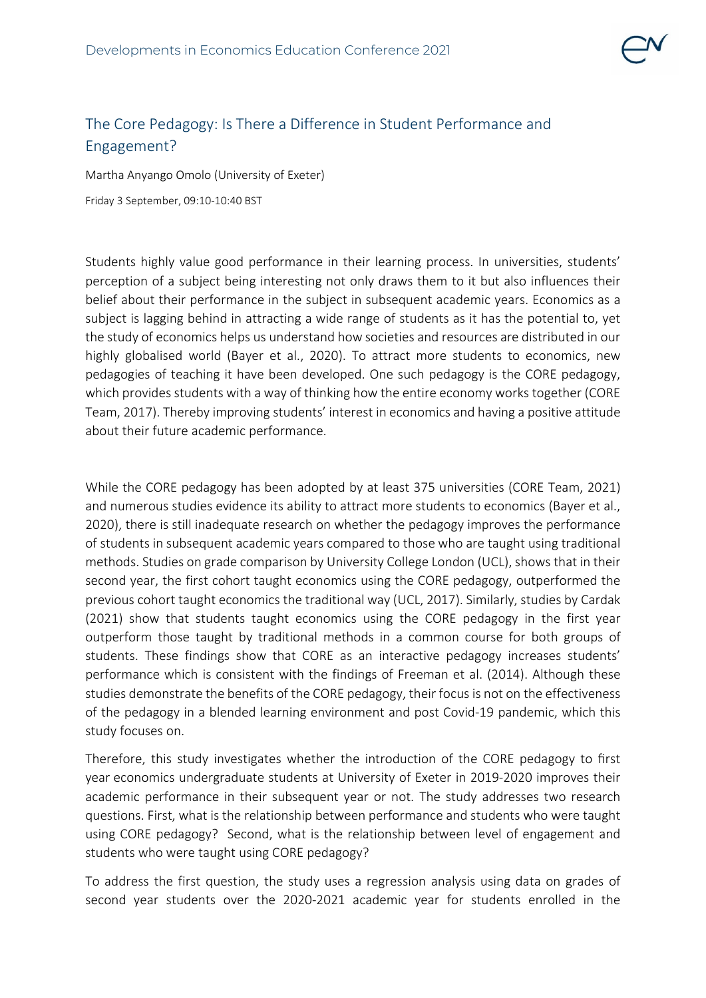## The Core Pedagogy: Is There a Difference in Student Performance and Engagement?

Martha Anyango Omolo (University of Exeter)

Friday 3 September, 09:10-10:40 BST

Students highly value good performance in their learning process. In universities, students' perception of a subject being interesting not only draws them to it but also influences their belief about their performance in the subject in subsequent academic years. Economics as a subject is lagging behind in attracting a wide range of students as it has the potential to, yet the study of economics helps us understand how societies and resources are distributed in our highly globalised world (Bayer et al., 2020). To attract more students to economics, new pedagogies of teaching it have been developed. One such pedagogy is the CORE pedagogy, which provides students with a way of thinking how the entire economy works together (CORE Team, 2017). Thereby improving students' interest in economics and having a positive attitude about their future academic performance.

While the CORE pedagogy has been adopted by at least 375 universities (CORE Team, 2021) and numerous studies evidence its ability to attract more students to economics (Bayer et al., 2020), there is still inadequate research on whether the pedagogy improves the performance of students in subsequent academic years compared to those who are taught using traditional methods. Studies on grade comparison by University College London (UCL), shows that in their second year, the first cohort taught economics using the CORE pedagogy, outperformed the previous cohort taught economics the traditional way (UCL, 2017). Similarly, studies by Cardak (2021) show that students taught economics using the CORE pedagogy in the first year outperform those taught by traditional methods in a common course for both groups of students. These findings show that CORE as an interactive pedagogy increases students' performance which is consistent with the findings of Freeman et al. (2014). Although these studies demonstrate the benefits of the CORE pedagogy, their focus is not on the effectiveness of the pedagogy in a blended learning environment and post Covid-19 pandemic, which this study focuses on.

Therefore, this study investigates whether the introduction of the CORE pedagogy to first year economics undergraduate students at University of Exeter in 2019-2020 improves their academic performance in their subsequent year or not. The study addresses two research questions. First, what is the relationship between performance and students who were taught using CORE pedagogy? Second, what is the relationship between level of engagement and students who were taught using CORE pedagogy?

To address the first question, the study uses a regression analysis using data on grades of second year students over the 2020-2021 academic year for students enrolled in the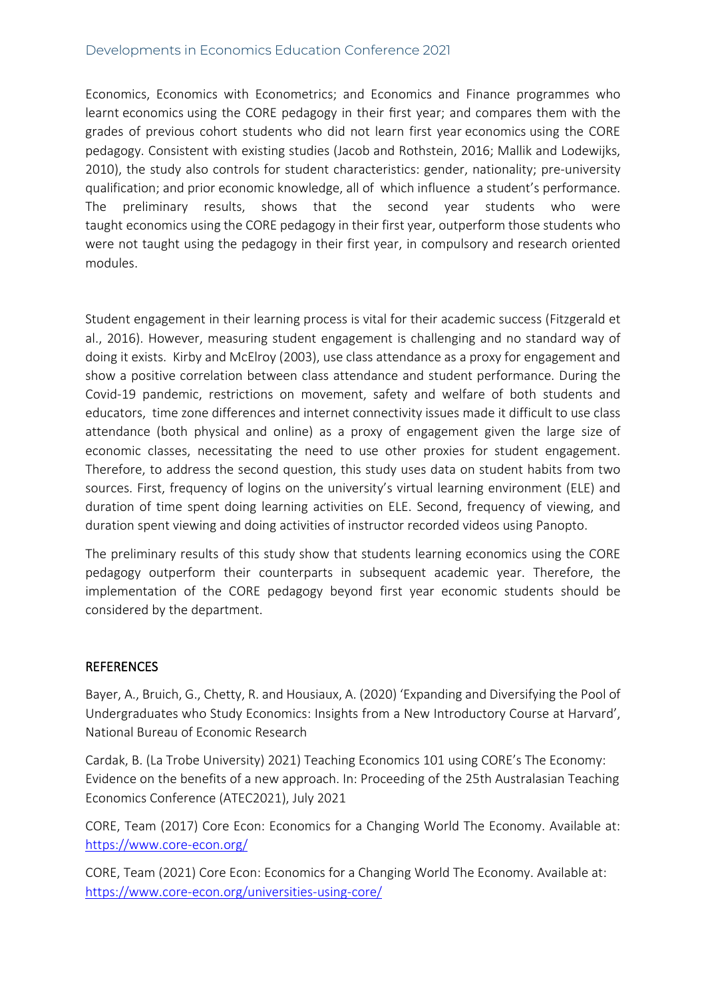## Developments in Economics Education Conference 2021

Economics, Economics with Econometrics; and Economics and Finance programmes who learnt economics using the CORE pedagogy in their first year; and compares them with the grades of previous cohort students who did not learn first year economics using the CORE pedagogy. Consistent with existing studies (Jacob and Rothstein, 2016; Mallik and Lodewijks, 2010), the study also controls for student characteristics: gender, nationality; pre-university qualification; and prior economic knowledge, all of which influence a student's performance. The preliminary results, shows that the second year students who were taught economics using the CORE pedagogy in their first year, outperform those students who were not taught using the pedagogy in their first year, in compulsory and research oriented modules.

Student engagement in their learning process is vital for their academic success (Fitzgerald et al., 2016). However, measuring student engagement is challenging and no standard way of doing it exists. Kirby and McElroy (2003), use class attendance as a proxy for engagement and show a positive correlation between class attendance and student performance. During the Covid-19 pandemic, restrictions on movement, safety and welfare of both students and educators, time zone differences and internet connectivity issues made it difficult to use class attendance (both physical and online) as a proxy of engagement given the large size of economic classes, necessitating the need to use other proxies for student engagement. Therefore, to address the second question, this study uses data on student habits from two sources. First, frequency of logins on the university's virtual learning environment (ELE) and duration of time spent doing learning activities on ELE. Second, frequency of viewing, and duration spent viewing and doing activities of instructor recorded videos using Panopto.

The preliminary results of this study show that students learning economics using the CORE pedagogy outperform their counterparts in subsequent academic year. Therefore, the implementation of the CORE pedagogy beyond first year economic students should be considered by the department.

## **REFERENCES**

Bayer, A., Bruich, G., Chetty, R. and Housiaux, A. (2020) 'Expanding and Diversifying the Pool of Undergraduates who Study Economics: Insights from a New Introductory Course at Harvard', National Bureau of Economic Research

Cardak, B. (La Trobe University) 2021) Teaching Economics 101 using CORE's The Economy: Evidence on the benefits of a new approach. In: Proceeding of the 25th Australasian Teaching Economics Conference (ATEC2021), July 2021

CORE, Team (2017) Core Econ: Economics for a Changing World The Economy. Available at: <https://www.core-econ.org/>

CORE, Team (2021) Core Econ: Economics for a Changing World The Economy. Available at: <https://www.core-econ.org/universities-using-core/>